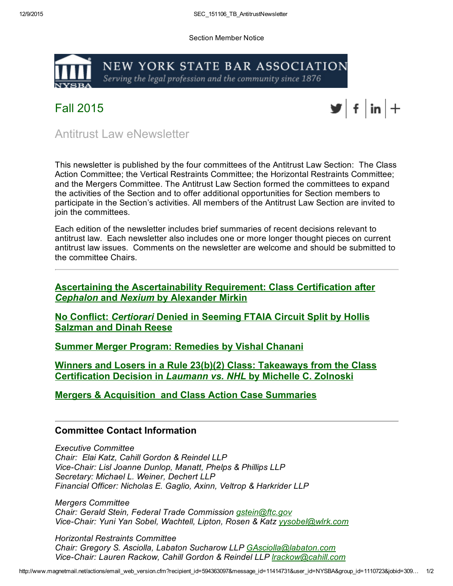Section Member Notice



Fall 2015



Antitrust Law eNewsletter

This newsletter is published by the four committees of the Antitrust Law Section: The Class Action Committee; the Vertical Restraints Committee; the Horizontal Restraints Committee; and the Mergers Committee. The Antitrust Law Section formed the committees to expand the activities of the Section and to offer additional opportunities for Section members to participate in the Section's activities. All members of the Antitrust Law Section are invited to join the committees.

Each edition of the newsletter includes brief summaries of recent decisions relevant to antitrust law. Each newsletter also includes one or more longer thought pieces on current antitrust law issues. Comments on the newsletter are welcome and should be submitted to the committee Chairs.

Ascertaining the [Ascertainability](http://www.mmsend75.com/link.cfm?r=594363097&sid=85283835&m=11414731&u=NYSBA&j=30999974&s=http://www.nysba.org/Sections/Antitrust_Law/e_Newsletter/2015/Ascertaining_the_Ascertainability_Requirement__Class_Certification_after_Cephalon_and_Nexium.html?utm_source=RealMagnet&utm_medium=email&utm_term=796443&utm_content=SEC%5F151106%5FTB%5FAntitrustNewsletter&utm_campaign=Competition%20Chronicles%20%E2%80%93%20Fall%202015%20edition) Requirement: Class Certification after *Cephalon* and *Nexium* by Alexander Mirkin

No Conflict: *[Certiorari](http://www.mmsend75.com/link.cfm?r=594363097&sid=85283836&m=11414731&u=NYSBA&j=30999974&s=http://www.nysba.org/Sections/Antitrust_Law/e_Newsletter/2015/No_Conflict__Certioriari_Denied_in_Seeming_FTAIA_Circuit_Split.html?utm_source=RealMagnet&utm_medium=email&utm_term=796443&utm_content=SEC%5F151106%5FTB%5FAntitrustNewsletter&utm_campaign=Competition%20Chronicles%20%E2%80%93%20Fall%202015%20edition)* Denied in Seeming FTAIA Circuit Split by Hollis Salzman and Dinah Reese

Summer Merger Program: [Remedies](http://www.mmsend75.com/link.cfm?r=594363097&sid=85283837&m=11414731&u=NYSBA&j=30999974&s=http://www.nysba.org/Sections/Antitrust_Law/e_Newsletter/2015/Summer_Merger_Program__Remedies.html?utm_source=RealMagnet&utm_medium=email&utm_term=796443&utm_content=SEC%5F151106%5FTB%5FAntitrustNewsletter&utm_campaign=Competition%20Chronicles%20%E2%80%93%20Fall%202015%20edition) by Vishal Chanani

Winners and Losers in a Rule 23(b)(2) Class: Takeaways from the Class [Certification](http://www.mmsend75.com/link.cfm?r=594363097&sid=84980963&m=11414731&u=NYSBA&j=30999974&s=http://www.nysba.org/Sections/Antitrust_Law/e_Newsletter/2015/Winners_and_Losers_in_a_Rule_23%28b%29%282%29_Class_Takeaways_from_the_Class_Certification_Decision_in_Laumann_vs__NHL.html?utm_source=RealMagnet&utm_medium=email&utm_term=621336&utm_content=SEC_151106_TB_AntitrustNewsletter&utm_campaign=TEST%20Antitrust%20eNewsletter) Decision in *Laumann vs. NHL* by Michelle C. Zolnoski

Mergers & [Acquisition](http://www.mmsend75.com/link.cfm?r=594363097&sid=85283838&m=11414731&u=NYSBA&j=30999974&s=http://www.nysba.org/Sections/Antitrust_Law/e_Newsletter/2015/Case_Summaries.html?utm_source=RealMagnet&utm_medium=email&utm_term=796443&utm_content=SEC%5F151106%5FTB%5FAntitrustNewsletter&utm_campaign=Competition%20Chronicles%20%E2%80%93%20Fall%202015%20edition) and Class Action Case Summaries

## Committee Contact Information

*Executive Committee Chair: Elai Katz, Cahill Gordon & Reindel LLP ViceChair: Lisl Joanne Dunlop, Manatt, Phelps & Phillips LLP Secretary: Michael L. Weiner, Dechert LLP Financial Officer: Nicholas E. Gaglio, Axinn, Veltrop & Harkrider LLP*

*Mergers Committee Chair: Gerald Stein, Federal Trade Commission [gstein@ftc.gov](mailto:gstein@ftc.gov) ViceChair: Yuni Yan Sobel, Wachtell, Lipton, Rosen & Katz [yysobel@wlrk.com](mailto:yysobel@wlrk.com)*

*Horizontal Restraints Committee Chair: Gregory S. Asciolla, Labaton Sucharow LLP [GAsciolla@labaton.com](mailto:GAsciolla@labaton.com) ViceChair: Lauren Rackow, Cahill Gordon & Reindel LLP [lrackow@cahill.com](mailto:lrackow@cahill.com)*